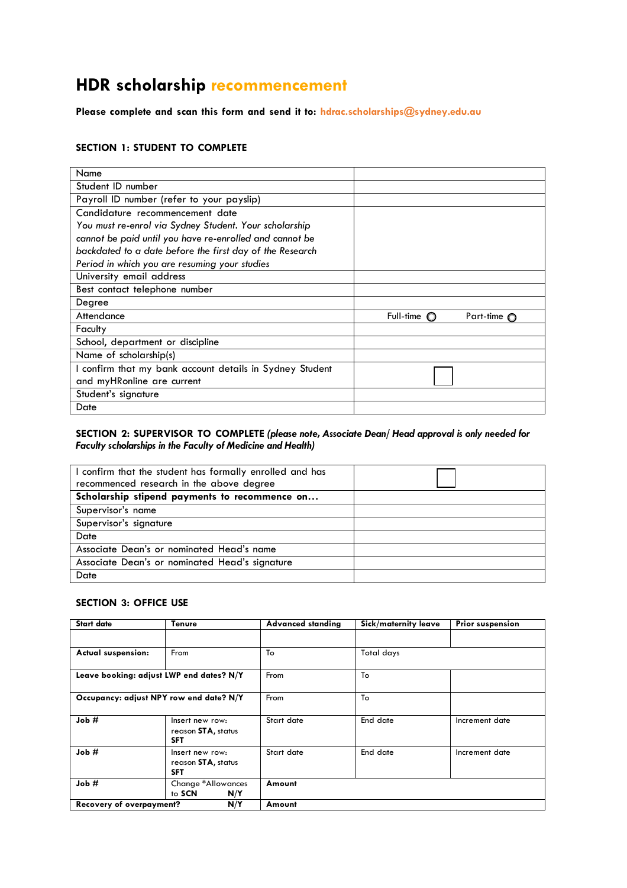# **HDR scholarship recommencement**

**Please complete and scan this form and send it to: [hdrac.scholarships@sydney.edu.au](mailto:hdrac.scholarships@sydney.edu.au)**

### **SECTION 1: STUDENT TO COMPLETE**

| Name                                                     |                      |                      |
|----------------------------------------------------------|----------------------|----------------------|
| Student ID number                                        |                      |                      |
| Payroll ID number (refer to your payslip)                |                      |                      |
| Candidature recommencement date                          |                      |                      |
| You must re-enrol via Sydney Student. Your scholarship   |                      |                      |
| cannot be paid until you have re-enrolled and cannot be  |                      |                      |
| backdated to a date before the first day of the Research |                      |                      |
| Period in which you are resuming your studies            |                      |                      |
| University email address                                 |                      |                      |
| Best contact telephone number                            |                      |                      |
| Degree                                                   |                      |                      |
| Attendance                                               | Full-time $\bigcirc$ | Part-time $\bigcirc$ |
| Faculty                                                  |                      |                      |
| School, department or discipline                         |                      |                      |
| Name of scholarship(s)                                   |                      |                      |
| I confirm that my bank account details in Sydney Student |                      |                      |
| and myHRonline are current                               |                      |                      |
| Student's signature                                      |                      |                      |
| Date                                                     |                      |                      |

### **SECTION 2: SUPERVISOR TO COMPLETE** *(please note, Associate Dean/ Head approval is only needed for Faculty scholarships in the Faculty of Medicine and Health)*

| confirm that the student has formally enrolled and has |  |
|--------------------------------------------------------|--|
| recommenced research in the above degree               |  |
| Scholarship stipend payments to recommence on          |  |
| Supervisor's name                                      |  |
| Supervisor's signature                                 |  |
| Date                                                   |  |
| Associate Dean's or nominated Head's name              |  |
| Associate Dean's or nominated Head's signature         |  |
| Date                                                   |  |

#### **SECTION 3: OFFICE USE**

| <b>Start date</b>                                | <b>Tenure</b>                                       | <b>Advanced standing</b> | Sick/maternity leave | <b>Prior suspension</b> |
|--------------------------------------------------|-----------------------------------------------------|--------------------------|----------------------|-------------------------|
|                                                  |                                                     |                          |                      |                         |
| <b>Actual suspension:</b>                        | From                                                | To                       | Total days           |                         |
| Leave booking: adjust LWP end dates? N/Y         |                                                     | From                     | To                   |                         |
| Occupancy: adjust NPY row end date? N/Y          |                                                     | From                     | To                   |                         |
| Job#                                             | Insert new row:<br>reason STA, status<br><b>SFT</b> | Start date               | End date             | Increment date          |
| Job #                                            | Insert new row:<br>reason STA, status<br><b>SFT</b> | Start date               | End date             | Increment date          |
| Job#                                             | Change *Allowances<br>to SCN<br>N/Y                 | Amount                   |                      |                         |
| N/Y<br><b>Recovery of overpayment?</b><br>Amount |                                                     |                          |                      |                         |